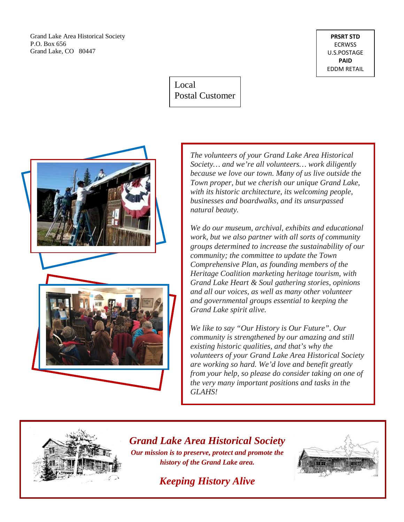Grand Lake Area Historical Society P.O. Box 656 Grand Lake, CO 80447

**PRSRT STD** ECRWSS U.S.POSTAGE **PAID** EDDM RETAIL





*The volunteers of your Grand Lake Area Historical Society… and we're all volunteers… work diligently because we love our town. Many of us live outside the Town proper, but we cherish our unique Grand Lake, with its historic architecture, its welcoming people, businesses and boardwalks, and its unsurpassed natural beauty.*

*We do our museum, archival, exhibits and educational work, but we also partner with all sorts of community groups determined to increase the sustainability of our community; the committee to update the Town Comprehensive Plan, as founding members of the Heritage Coalition marketing heritage tourism, with Grand Lake Heart & Soul gathering stories, opinions and all our voices, as well as many other volunteer and governmental groups essential to keeping the Grand Lake spirit alive.*

*We like to say "Our History is Our Future". Our community is strengthened by our amazing and still existing historic qualities, and that's why the volunteers of your Grand Lake Area Historical Society are working so hard. We'd love and benefit greatly from your help, so please do consider taking on one of the very many important positions and tasks in the GLAHS!*



*Grand Lake Area Historical Society Our mission is to preserve, protect and promote the history of the Grand Lake area.*



*Keeping History Alive*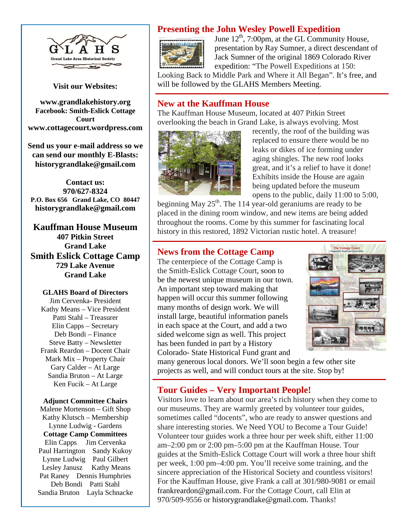

**Visit our Websites:**

**[www.grandlakehistory.org](http://www.grandlakehistory.org/) Facebook: Smith-Eslick Cottage Court [www.cottagecourt.wordpress.com](http://www.cottagecourt.wordpress.com/)**

**Send us your e-mail address so we can send our monthly E-Blasts: [historygrandlake@gmail.com](mailto:glhistory@rkymtnhi.com)**

**Contact us: 970/627-8324 P.O. Box 656 Grand Lake, CO 80447 [historygrandlake@gmail.com](mailto:glhistory@rkymtnhi.com)**

**Kauffman House Museum 407 Pitkin Street Grand Lake Smith Eslick Cottage Camp 729 Lake Avenue Grand Lake**

**GLAHS Board of Directors** Jim Cervenka- President Kathy Means – Vice President Patti Stahl – Treasurer Elin Capps – Secretary Deb Bondi – Finance Steve Batty – Newsletter Frank Reardon – Docent Chair Mark Mix – Property Chair Gary Calder – At Large Sandia Bruton – At Large Ken Fucik – At Large

#### **Adjunct Committee Chairs**

Malene Mortenson – Gift Shop Kathy Klutsch – Membership Lynne Ludwig - Gardens **Cottage Camp Committees** Elin Capps Jim Cervenka Paul Harrington Sandy Kukoy Lynne Ludwig Paul Gilbert Lesley Janusz Kathy Means Pat Raney Dennis Humphries Deb Bondi Patti Stahl Sandia Bruton Layla Schnacke

### **Presenting the John Wesley Powell Expedition**



June  $12^{th}$ , 7:00pm, at the GL Community House, presentation by Ray Sumner, a direct descendant of Jack Sumner of the original 1869 Colorado River expedition: "The Powell Expeditions at 150:

Looking Back to Middle Park and Where it All Began". It's free, and will be followed by the GLAHS Members Meeting.

#### **New at the Kauffman House**

The Kauffman House Museum, located at 407 Pitkin Street overlooking the beach in Grand Lake, is always evolving. Most



recently, the roof of the building was replaced to ensure there would be no leaks or dikes of ice forming under aging shingles. The new roof looks great, and it's a relief to have it done! Exhibits inside the House are again being updated before the museum opens to the public, daily 11:00 to 5:00,

beginning May  $25<sup>th</sup>$ . The 114 year-old geraniums are ready to be placed in the dining room window, and new items are being added throughout the rooms. Come by this summer for fascinating local history in this restored, 1892 Victorian rustic hotel. A treasure!

#### **News from the Cottage Camp**

The centerpiece of the Cottage Camp is the Smith-Eslick Cottage Court, soon to be the newest unique museum in our town. An important step toward making that happen will occur this summer following many months of design work. We will install large, beautiful information panels in each space at the Court, and add a two sided welcome sign as well. This project has been funded in part by a History Colorado- State Historical Fund grant and



many generous local donors. We'll soon begin a few other site projects as well, and will conduct tours at the site. Stop by!

#### **Tour Guides – Very Important People!**

Visitors love to learn about our area's rich history when they come to our museums. They are warmly greeted by volunteer tour guides, sometimes called "docents", who are ready to answer questions and share interesting stories. We Need YOU to Become a Tour Guide! Volunteer tour guides work a three hour per week shift, either 11:00 am–2:00 pm or 2:00 pm–5:00 pm at the Kauffman House. Tour guides at the Smith-Eslick Cottage Court will work a three hour shift per week, 1:00 pm–4:00 pm. You'll receive some training, and the sincere appreciation of the Historical Society and countless visitors! For the Kauffman House, give Frank a call at 301/980-9081 or email [frankreardon@gmail.com.](mailto:frankreardon@gmail.com) For the Cottage Court, call Elin at 970/509-9556 or [historygrandlake@gmail.com.](mailto:historygrandlake@gmail.com) Thanks!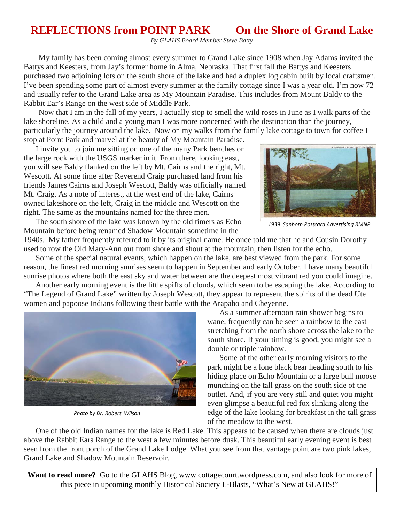# **REFLECTIONS from POINT PARK On the Shore of Grand Lake**

*By GLAHS Board Member Steve Batty*

My family has been coming almost every summer to Grand Lake since 1908 when Jay Adams invited the Battys and Keesters, from Jay's former home in Alma, Nebraska. That first fall the Battys and Keesters purchased two adjoining lots on the south shore of the lake and had a duplex log cabin built by local craftsmen. I've been spending some part of almost every summer at the family cottage since I was a year old. I'm now 72 and usually refer to the Grand Lake area as My Mountain Paradise. This includes from Mount Baldy to the Rabbit Ear's Range on the west side of Middle Park.

Now that I am in the fall of my years, I actually stop to smell the wild roses in June as I walk parts of the lake shoreline. As a child and a young man I was more concerned with the destination than the journey, particularly the journey around the lake. Now on my walks from the family lake cottage to town for coffee I stop at Point Park and marvel at the beauty of My Mountain Paradise.

I invite you to join me sitting on one of the many Park benches or the large rock with the USGS marker in it. From there, looking east, you will see Baldy flanked on the left by Mt. Cairns and the right, Mt. Wescott. At some time after Reverend Craig purchased land from his friends James Cairns and Joseph Wescott, Baldy was officially named Mt. Craig. As a note of interest, at the west end of the lake, Cairns owned lakeshore on the left, Craig in the middle and Wescott on the right. The same as the mountains named for the three men.

The south shore of the lake was known by the old timers as Echo Mountain before being renamed Shadow Mountain sometime in the



*1939 Sanborn Postcard Advertising RMNP*

1940s. My father frequently referred to it by its original name. He once told me that he and Cousin Dorothy used to row the Old Mary-Ann out from shore and shout at the mountain, then listen for the echo.

Some of the special natural events, which happen on the lake, are best viewed from the park. For some reason, the finest red morning sunrises seem to happen in September and early October. I have many beautiful sunrise photos where both the east sky and water between are the deepest most vibrant red you could imagine.

Another early morning event is the little spiffs of clouds, which seem to be escaping the lake. According to "The Legend of Grand Lake" written by Joseph Wescott, they appear to represent the spirits of the dead Ute women and papoose Indians following their battle with the Arapaho and Cheyenne.



*Photo by Dr. Robert Wilson*

As a summer afternoon rain shower begins to wane, frequently can be seen a rainbow to the east stretching from the north shore across the lake to the south shore. If your timing is good, you might see a double or triple rainbow.

Some of the other early morning visitors to the park might be a lone black bear heading south to his hiding place on Echo Mountain or a large bull moose munching on the tall grass on the south side of the outlet. And, if you are very still and quiet you might even glimpse a beautiful red fox slinking along the edge of the lake looking for breakfast in the tall grass of the meadow to the west.

One of the old Indian names for the lake is Red Lake. This appears to be caused when there are clouds just above the Rabbit Ears Range to the west a few minutes before dusk. This beautiful early evening event is best seen from the front porch of the Grand Lake Lodge. What you see from that vantage point are two pink lakes, Grand Lake and Shadow Mountain Reservoir.

**Want to read more?** Go to the GLAHS Blog, [www.cottagecourt.wordpress.com,](http://www.cottagecourt.wordpress.com/) and also look for more of this piece in upcoming monthly Historical Society E-Blasts, "What's New at GLAHS!"